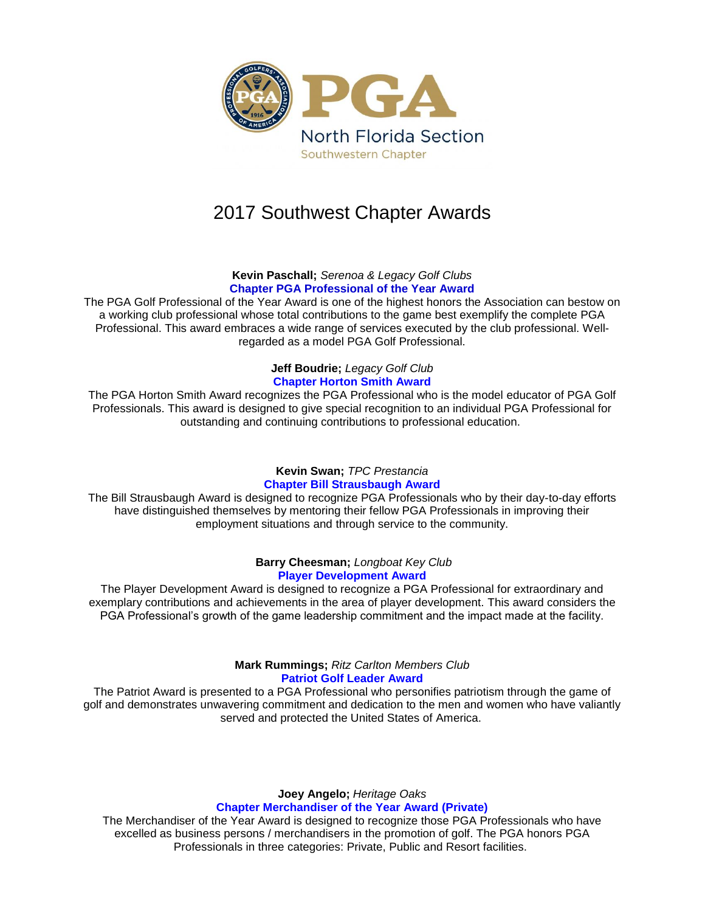

# 2017 Southwest Chapter Awards

**Kevin Paschall;** *Serenoa & Legacy Golf Clubs* **Chapter PGA Professional of the Year Award**

The PGA Golf Professional of the Year Award is one of the highest honors the Association can bestow on a working club professional whose total contributions to the game best exemplify the complete PGA Professional. This award embraces a wide range of services executed by the club professional. Wellregarded as a model PGA Golf Professional.

# **Jeff Boudrie;** *Legacy Golf Club* **Chapter Horton Smith Award**

The PGA Horton Smith Award recognizes the PGA Professional who is the model educator of PGA Golf Professionals. This award is designed to give special recognition to an individual PGA Professional for outstanding and continuing contributions to professional education.

# **Kevin Swan;** *TPC Prestancia* **Chapter Bill Strausbaugh Award**

The Bill Strausbaugh Award is designed to recognize PGA Professionals who by their day-to-day efforts have distinguished themselves by mentoring their fellow PGA Professionals in improving their employment situations and through service to the community.

## **Barry Cheesman;** *Longboat Key Club* **Player Development Award**

The Player Development Award is designed to recognize a PGA Professional for extraordinary and exemplary contributions and achievements in the area of player development. This award considers the PGA Professional's growth of the game leadership commitment and the impact made at the facility.

## **Mark Rummings;** *Ritz Carlton Members Club* **Patriot Golf Leader Award**

The Patriot Award is presented to a PGA Professional who personifies patriotism through the game of golf and demonstrates unwavering commitment and dedication to the men and women who have valiantly served and protected the United States of America.

> **Joey Angelo;** *Heritage Oaks* **Chapter Merchandiser of the Year Award (Private)**

The Merchandiser of the Year Award is designed to recognize those PGA Professionals who have excelled as business persons / merchandisers in the promotion of golf. The PGA honors PGA Professionals in three categories: Private, Public and Resort facilities.